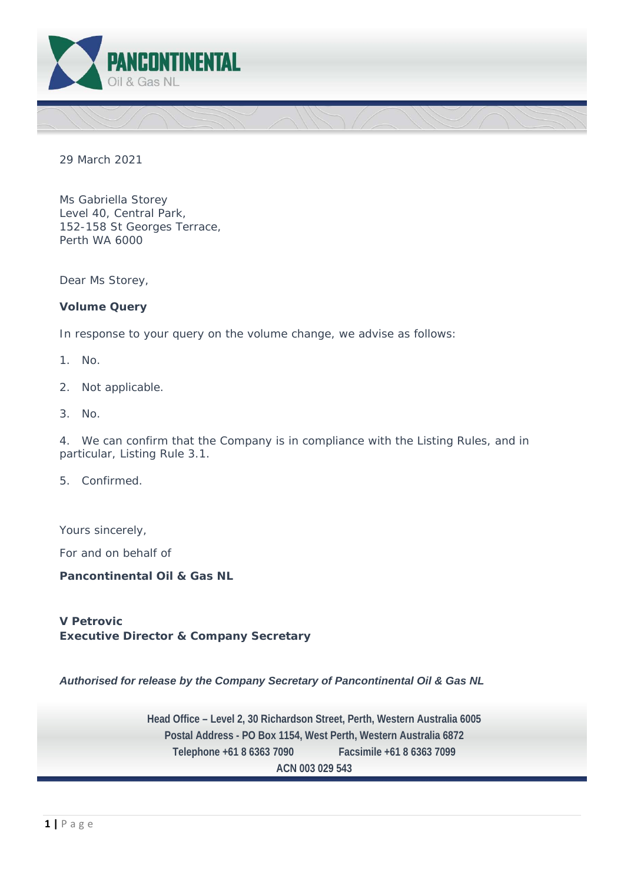

29 March 2021

Ms Gabriella Storey Level 40, Central Park, 152-158 St Georges Terrace, Perth WA 6000

Dear Ms Storey,

# **Volume Query**

In response to your query on the volume change, we advise as follows:

- 1. No.
- 2. Not applicable.
- 3. No.

4. We can confirm that the Company is in compliance with the Listing Rules, and in particular, Listing Rule 3.1.

5. Confirmed.

Yours sincerely,

For and on behalf of

**Pancontinental Oil & Gas NL** 

**V Petrovic Executive Director & Company Secretary** 

*Authorised for release by the Company Secretary of Pancontinental Oil & Gas NL* 

 **Head Office – Level 2, 30 Richardson Street, Perth, Western Australia 6005 Postal Address - PO Box 1154, West Perth, Western Australia 6872 Telephone +61 8 6363 7090 Facsimile +61 8 6363 7099 ACN 003 029 543**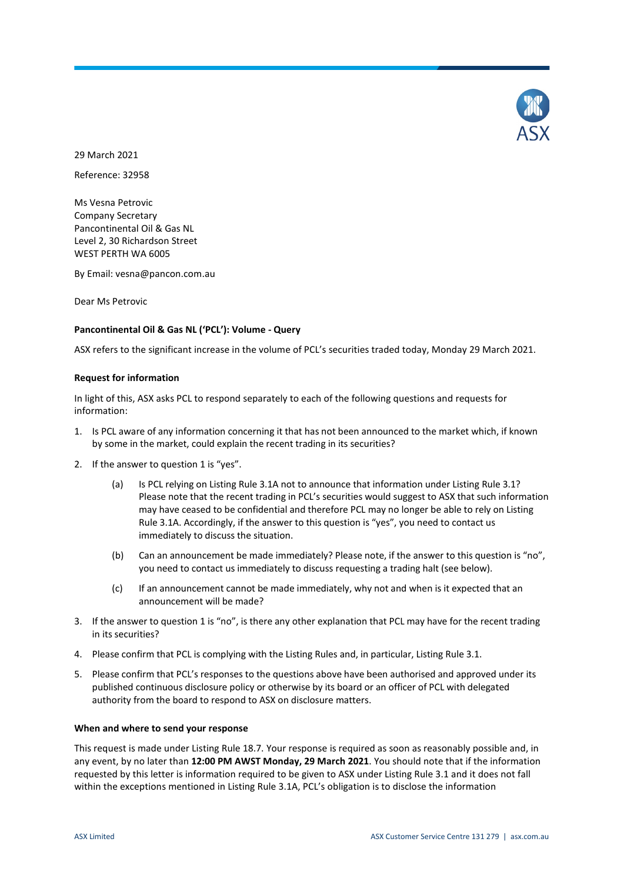

29 March 2021 Reference: 32958

Ms Vesna Petrovic Company Secretary Pancontinental Oil & Gas NL Level 2, 30 Richardson Street WEST PERTH WA 6005

By Email: vesna@pancon.com.au

Dear Ms Petrovic

#### **Pancontinental Oil & Gas NL ('PCL'): Volume - Query**

ASX refers to the significant increase in the volume of PCL's securities traded today, Monday 29 March 2021.

#### **Request for information**

In light of this, ASX asks PCL to respond separately to each of the following questions and requests for information:

- 1. Is PCL aware of any information concerning it that has not been announced to the market which, if known by some in the market, could explain the recent trading in its securities?
- 2. If the answer to question 1 is "yes".
	- (a) Is PCL relying on Listing Rule 3.1A not to announce that information under Listing Rule 3.1? Please note that the recent trading in PCL's securities would suggest to ASX that such information may have ceased to be confidential and therefore PCL may no longer be able to rely on Listing Rule 3.1A. Accordingly, if the answer to this question is "yes", you need to contact us immediately to discuss the situation.
	- (b) Can an announcement be made immediately? Please note, if the answer to this question is "no", you need to contact us immediately to discuss requesting a trading halt (see below).
	- (c) If an announcement cannot be made immediately, why not and when is it expected that an announcement will be made?
- 3. If the answer to question 1 is "no", is there any other explanation that PCL may have for the recent trading in its securities?
- 4. Please confirm that PCL is complying with the Listing Rules and, in particular, Listing Rule 3.1.
- 5. Please confirm that PCL's responses to the questions above have been authorised and approved under its published continuous disclosure policy or otherwise by its board or an officer of PCL with delegated authority from the board to respond to ASX on disclosure matters.

#### **When and where to send your response**

This request is made under Listing Rule 18.7. Your response is required as soon as reasonably possible and, in any event, by no later than **12:00 PM AWST Monday, 29 March 2021**. You should note that if the information requested by this letter is information required to be given to ASX under Listing Rule 3.1 and it does not fall within the exceptions mentioned in Listing Rule 3.1A, PCL's obligation is to disclose the information